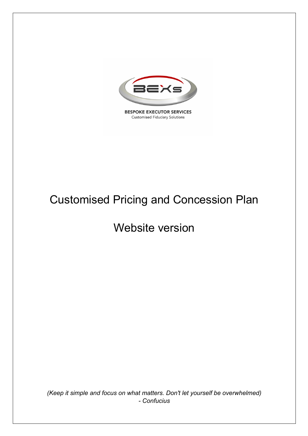

**BESPOKE EXECUTOR SERVICES Customised Fiduciary Solutions** 

# Customised Pricing and Concession Plan

# Website version

*(Keep it simple and focus on what matters. Don't let yourself be overwhelmed) - Confucius*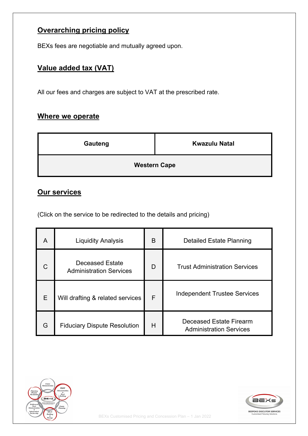#### **Overarching pricing policy**

BEXs fees are negotiable and mutually agreed upon.

### **Value added tax (VAT)**

All our fees and charges are subject to VAT at the prescribed rate.

#### **Where we operate**

| Gauteng | <b>Kwazulu Natal</b> |
|---------|----------------------|
|         | <b>Western Cape</b>  |

## **Our services**

(Click on the service to be redirected to the details and pricing)

| A | <b>Liquidity Analysis</b>                                | B | Detailed Estate Planning                                  |  |
|---|----------------------------------------------------------|---|-----------------------------------------------------------|--|
|   | <b>Deceased Estate</b><br><b>Administration Services</b> | D | <b>Trust Administration Services</b>                      |  |
| E | Will drafting & related services                         | F | <b>Independent Trustee Services</b>                       |  |
| G | <b>Fiduciary Dispute Resolution</b>                      | H | Deceased Estate Firearm<br><b>Administration Services</b> |  |



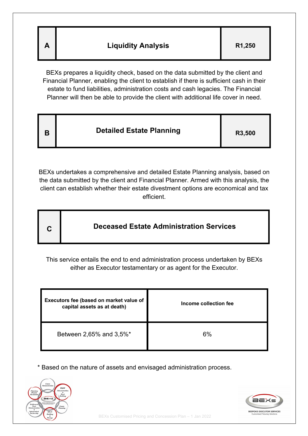| Α | <b>Liquidity Analysis</b> | R <sub>1</sub> ,250 |
|---|---------------------------|---------------------|
|---|---------------------------|---------------------|

BEXs prepares a liquidity check, based on the data submitted by the client and Financial Planner, enabling the client to establish if there is sufficient cash in their estate to fund liabilities, administration costs and cash legacies. The Financial Planner will then be able to provide the client with additional life cover in need.

| B | <b>Detailed Estate Planning</b> | R3,500 |
|---|---------------------------------|--------|
|---|---------------------------------|--------|

BEXs undertakes a comprehensive and detailed Estate Planning analysis, based on the data submitted by the client and Financial Planner. Armed with this analysis, the client can establish whether their estate divestment options are economical and tax efficient.

| <b>Deceased Estate Administration Services</b><br>C |  |
|-----------------------------------------------------|--|
|-----------------------------------------------------|--|

This service entails the end to end administration process undertaken by BEXs either as Executor testamentary or as agent for the Executor.

| Executors fee (based on market value of<br>capital assets as at death) | Income collection fee |
|------------------------------------------------------------------------|-----------------------|
| Between 2,65% and 3,5%*                                                | 6%                    |

\* Based on the nature of assets and envisaged administration process.



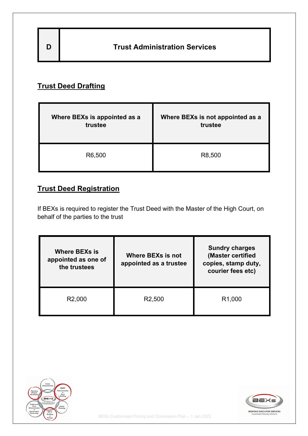| D | <b>Trust Administration Services</b> |
|---|--------------------------------------|
|   |                                      |

## **Trust Deed Drafting**

| Where BEXs is appointed as a | Where BEXs is not appointed as a |
|------------------------------|----------------------------------|
| trustee                      | trustee                          |
| R6,500                       | R8,500                           |

### **Trust Deed Registration**

If BEXs is required to register the Trust Deed with the Master of the High Court, on behalf of the parties to the trust

| <b>Where BEXs is</b><br>appointed as one of<br>the trustees | <b>Where BEXs is not</b><br>appointed as a trustee | <b>Sundry charges</b><br>(Master certified<br>copies, stamp duty,<br>courier fees etc) |
|-------------------------------------------------------------|----------------------------------------------------|----------------------------------------------------------------------------------------|
| R <sub>2</sub> ,000                                         | R <sub>2</sub> ,500                                | R <sub>1</sub> ,000                                                                    |



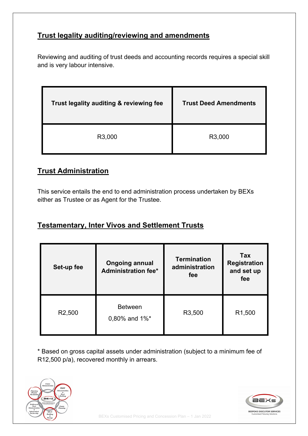#### **Trust legality auditing/reviewing and amendments**

Reviewing and auditing of trust deeds and accounting records requires a special skill and is very labour intensive.

| Trust legality auditing & reviewing fee | <b>Trust Deed Amendments</b> |
|-----------------------------------------|------------------------------|
| R3,000                                  | R3,000                       |

#### **Trust Administration**

This service entails the end to end administration process undertaken by BEXs either as Trustee or as Agent for the Trustee.

#### **Testamentary, Inter Vivos and Settlement Trusts**

| Set-up fee          | <b>Ongoing annual</b><br><b>Administration fee*</b> | <b>Termination</b><br>administration<br>fee | Tax<br><b>Registration</b><br>and set up<br>fee |
|---------------------|-----------------------------------------------------|---------------------------------------------|-------------------------------------------------|
| R <sub>2</sub> ,500 | <b>Between</b><br>$0,80\%$ and $1\%$ <sup>*</sup>   |                                             | R <sub>1</sub> ,500                             |

\* Based on gross capital assets under administration (subject to a minimum fee of R12,500 p/a), recovered monthly in arrears.



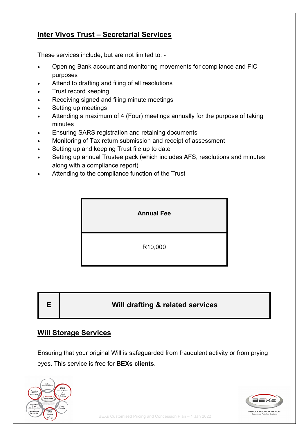#### **Inter Vivos Trust – Secretarial Services**

These services include, but are not limited to: -

- Opening Bank account and monitoring movements for compliance and FIC purposes
- Attend to drafting and filing of all resolutions
- Trust record keeping
- Receiving signed and filing minute meetings
- Setting up meetings
- Attending a maximum of 4 (Four) meetings annually for the purpose of taking minutes
- Ensuring SARS registration and retaining documents
- Monitoring of Tax return submission and receipt of assessment
- Setting up and keeping Trust file up to date
- Setting up annual Trustee pack (which includes AFS, resolutions and minutes along with a compliance report)
- Attending to the compliance function of the Trust



| E  <br>Will drafting & related services |  |
|-----------------------------------------|--|
|-----------------------------------------|--|

#### **Will Storage Services**

Ensuring that your original Will is safeguarded from fraudulent activity or from prying eyes. This service is free for **BEXs clients**.



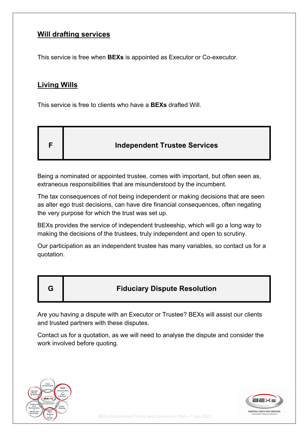#### **Will drafting services**

This service is free when **BEXs** is appointed as Executor or Co-executor.

#### **Living Wills**

This service is free to clients who have a **BEXs** drafted Will.

|  | <b>Independent Trustee Services</b> |
|--|-------------------------------------|
|--|-------------------------------------|

Being a nominated or appointed trustee, comes with important, but often seen as, extraneous responsibilities that are misunderstood by the incumbent.

The tax consequences of not being independent or making decisions that are seen as alter ego trust decisions, can have dire financial consequences, often negating the very purpose for which the trust was set up.

BEXs provides the service of independent trusteeship, which will go a long way to making the decisions of the trustees, truly independent and open to scrutiny.

Our participation as an independent trustee has many variables, so contact us for a quotation.

#### **G Fiduciary Dispute Resolution**

Are you having a dispute with an Executor or Trustee? BEXs will assist our clients and trusted partners with these disputes.

Contact us for a quotation, as we will need to analyse the dispute and consider the work involved before quoting.



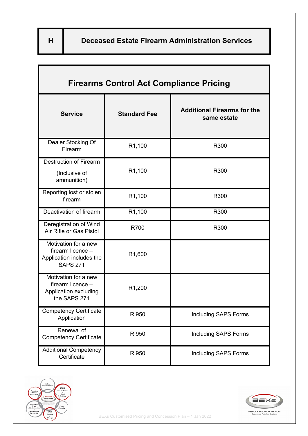| <b>Firearms Control Act Compliance Pricing</b>                                           |                     |                                                   |  |
|------------------------------------------------------------------------------------------|---------------------|---------------------------------------------------|--|
| <b>Service</b>                                                                           | <b>Standard Fee</b> | <b>Additional Firearms for the</b><br>same estate |  |
| Dealer Stocking Of<br>Firearm                                                            | R <sub>1</sub> ,100 | R300                                              |  |
| <b>Destruction of Firearm</b><br>(Inclusive of<br>ammunition)                            | R1,100              | R300                                              |  |
| Reporting lost or stolen<br>firearm                                                      | R1,100              | R300                                              |  |
| Deactivation of firearm                                                                  | R1,100              | R300                                              |  |
| Deregistration of Wind<br>Air Rifle or Gas Pistol                                        | R700                | R300                                              |  |
| Motivation for a new<br>firearm licence -<br>Application includes the<br><b>SAPS 271</b> | R <sub>1</sub> ,600 |                                                   |  |
| Motivation for a new<br>firearm licence -<br>Application excluding<br>the SAPS 271       | R1,200              |                                                   |  |
| <b>Competency Certificate</b><br>Application                                             | R 950               | <b>Including SAPS Forms</b>                       |  |
| Renewal of<br><b>Competency Certificate</b>                                              | R 950               | <b>Including SAPS Forms</b>                       |  |
| <b>Additional Competency</b><br>Certificate                                              | R 950               | <b>Including SAPS Forms</b>                       |  |